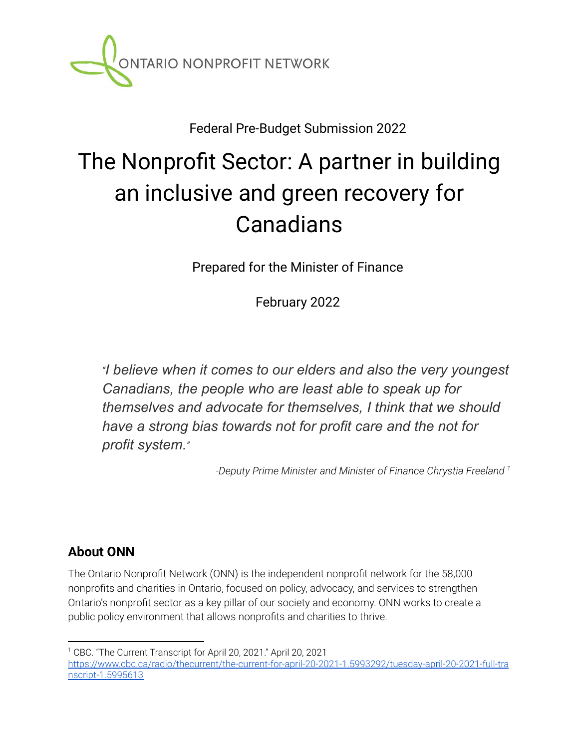

Federal Pre-Budget Submission 2022

# The Nonprofit Sector: A partner in building an inclusive and green recovery for Canadians

Prepared for the Minister of Finance

February 2022

*"I believe when it comes to our elders and also the very youngest Canadians, the people who are least able to speak up for themselves and advocate for themselves, I think that we should have a strong bias towards not for profit care and the not for profit system."*

*-Deputy Prime Minister and Minister of Finance Chrystia Freeland 1*

### **About ONN**

The Ontario Nonprofit Network (ONN) is the independent nonprofit network for the 58,000 nonprofits and charities in Ontario, focused on policy, advocacy, and services to strengthen Ontario's nonprofit sector as a key pillar of our society and economy. ONN works to create a public policy environment that allows nonprofits and charities to thrive.

<sup>1</sup> CBC. "The Current Transcript for April 20, 2021." April 20, 2021 [https://www.cbc.ca/radio/thecurrent/the-current-for-april-20-2021-1.5993292/tuesday-april-20-2021-full-tra](https://www.cbc.ca/radio/thecurrent/the-current-for-april-20-2021-1.5993292/tuesday-april-20-2021-full-transcript-1.5995613) [nscript-1.5995613](https://www.cbc.ca/radio/thecurrent/the-current-for-april-20-2021-1.5993292/tuesday-april-20-2021-full-transcript-1.5995613)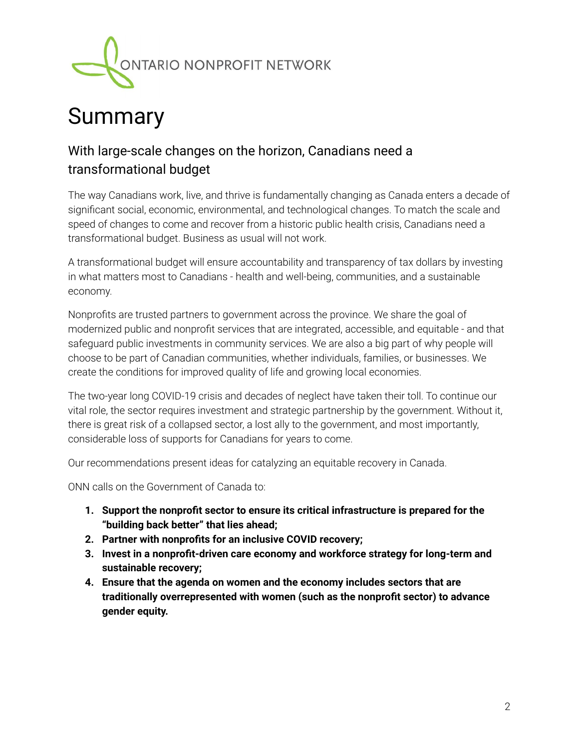

## Summary

### With large-scale changes on the horizon, Canadians need a transformational budget

The way Canadians work, live, and thrive is fundamentally changing as Canada enters a decade of significant social, economic, environmental, and technological changes. To match the scale and speed of changes to come and recover from a historic public health crisis, Canadians need a transformational budget. Business as usual will not work.

A transformational budget will ensure accountability and transparency of tax dollars by investing in what matters most to Canadians - health and well-being, communities, and a sustainable economy.

Nonprofits are trusted partners to government across the province. We share the goal of modernized public and nonprofit services that are integrated, accessible, and equitable - and that safeguard public investments in community services. We are also a big part of why people will choose to be part of Canadian communities, whether individuals, families, or businesses. We create the conditions for improved quality of life and growing local economies.

The two-year long COVID-19 crisis and decades of neglect have taken their toll. To continue our vital role, the sector requires investment and strategic partnership by the government. Without it, there is great risk of a collapsed sector, a lost ally to the government, and most importantly, considerable loss of supports for Canadians for years to come.

Our recommendations present ideas for catalyzing an equitable recovery in Canada.

ONN calls on the Government of Canada to:

- **1. Support the nonprofit sector to ensure its critical infrastructure is prepared for the "building back better" that lies ahead;**
- **2. Partner with nonprofits for an inclusive COVID recovery;**
- **3. Invest in a nonprofit-driven care economy and workforce strategy for long-term and sustainable recovery;**
- **4. Ensure that the agenda on women and the economy includes sectors that are traditionally overrepresented with women (such as the nonprofit sector) to advance gender equity.**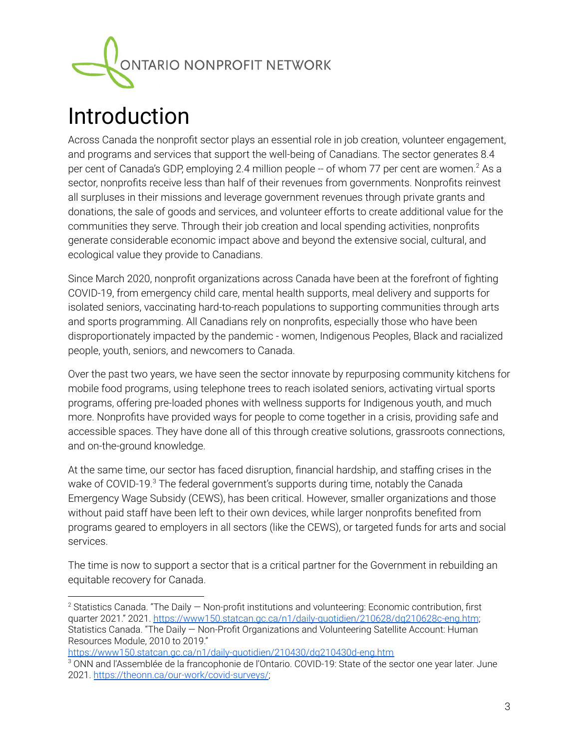

## Introduction

Across Canada the nonprofit sector plays an essential role in job creation, volunteer engagement, and programs and services that support the well-being of Canadians. The sector generates 8.4 per cent of Canada's GDP, employing 2.4 million people -- of whom 77 per cent are women.<sup>2</sup> As a sector, nonprofits receive less than half of their revenues from governments. Nonprofits reinvest all surpluses in their missions and leverage government revenues through private grants and donations, the sale of goods and services, and volunteer efforts to create additional value for the communities they serve. Through their job creation and local spending activities, nonprofits generate considerable economic impact above and beyond the extensive social, cultural, and ecological value they provide to Canadians.

Since March 2020, nonprofit organizations across Canada have been at the forefront of fighting COVID-19, from emergency child care, mental health supports, meal delivery and supports for isolated seniors, vaccinating hard-to-reach populations to supporting communities through arts and sports programming. All Canadians rely on nonprofits, especially those who have been disproportionately impacted by the pandemic - women, Indigenous Peoples, Black and racialized people, youth, seniors, and newcomers to Canada.

Over the past two years, we have seen the sector innovate by repurposing community kitchens for mobile food programs, using telephone trees to reach isolated seniors, activating virtual sports programs, offering pre-loaded phones with wellness supports for Indigenous youth, and much more. Nonprofits have provided ways for people to come together in a crisis, providing safe and accessible spaces. They have done all of this through creative solutions, grassroots connections, and on-the-ground knowledge.

At the same time, our sector has faced disruption, financial hardship, and staffing crises in the wake of COVID-19.<sup>3</sup> The federal government's supports during time, notably the Canada Emergency Wage Subsidy (CEWS), has been critical. However, smaller organizations and those without paid staff have been left to their own devices, while larger nonprofits benefited from programs geared to employers in all sectors (like the CEWS), or targeted funds for arts and social services.

The time is now to support a sector that is a critical partner for the Government in rebuilding an equitable recovery for Canada.

<https://www150.statcan.gc.ca/n1/daily-quotidien/210430/dq210430d-eng.htm>

<sup>&</sup>lt;sup>2</sup> Statistics Canada. "The Daily  $-$  Non-profit institutions and volunteering: Economic contribution, first quarter 2021." 2021. <https://www150.statcan.gc.ca/n1/daily-quotidien/210628/dq210628c-eng.htm>; Statistics Canada. "The Daily — Non-Profit Organizations and Volunteering Satellite Account: Human Resources Module, 2010 to 2019."

<sup>&</sup>lt;sup>3</sup> ONN and l'Assemblée de la francophonie de l'Ontario. COVID-19: State of the sector one year later. June 2021. <https://theonn.ca/our-work/covid-surveys/>;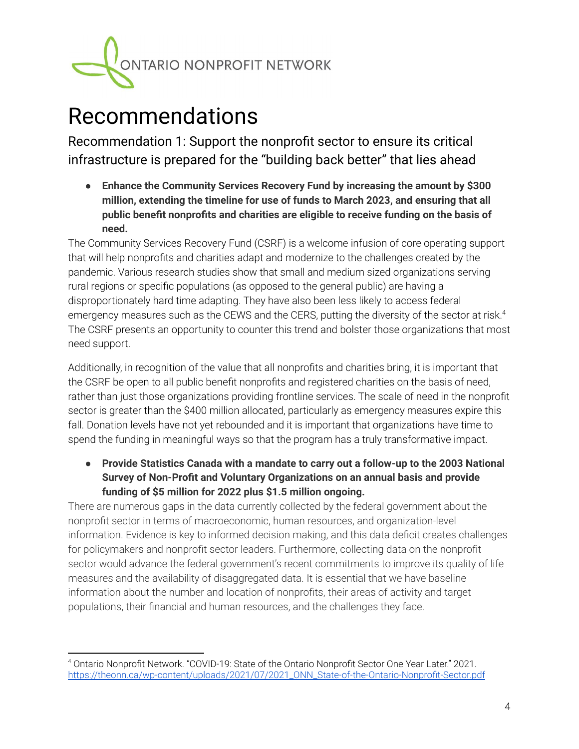

## Recommendations

Recommendation 1: Support the nonprofit sector to ensure its critical infrastructure is prepared for the "building back better" that lies ahead

**● Enhance the Community Services Recovery Fund by increasing the amount by \$300 million, extending the timeline for use of funds to March 2023, and ensuring that all public benefit nonprofits and charities are eligible to receive funding on the basis of need.**

The Community Services Recovery Fund (CSRF) is a welcome infusion of core operating support that will help nonprofits and charities adapt and modernize to the challenges created by the pandemic. Various research studies show that small and medium sized organizations serving rural regions or specific populations (as opposed to the general public) are having a disproportionately hard time adapting. They have also been less likely to access federal emergency measures such as the CEWS and the CERS, putting the diversity of the sector at risk. $^4$ The CSRF presents an opportunity to counter this trend and bolster those organizations that most need support.

Additionally, in recognition of the value that all nonprofits and charities bring, it is important that the CSRF be open to all public benefit nonprofits and registered charities on the basis of need, rather than just those organizations providing frontline services. The scale of need in the nonprofit sector is greater than the \$400 million allocated, particularly as emergency measures expire this fall. Donation levels have not yet rebounded and it is important that organizations have time to spend the funding in meaningful ways so that the program has a truly transformative impact.

**● Provide Statistics Canada with a mandate to carry out a follow-up to the 2003 National Survey of Non-Profit and Voluntary Organizations on an annual basis and provide funding of \$5 million for 2022 plus \$1.5 million ongoing.**

There are numerous gaps in the data currently collected by the federal government about the nonprofit sector in terms of macroeconomic, human resources, and organization-level information. Evidence is key to informed decision making, and this data deficit creates challenges for policymakers and nonprofit sector leaders. Furthermore, collecting data on the nonprofit sector would advance the federal government's recent commitments to improve its quality of life measures and the availability of disaggregated data. It is essential that we have baseline information about the number and location of nonprofits, their areas of activity and target populations, their financial and human resources, and the challenges they face.

<sup>4</sup> Ontario Nonprofit Network. "COVID-19: State of the Ontario Nonprofit Sector One Year Later." 2021. [https://theonn.ca/wp-content/uploads/2021/07/2021\\_ONN\\_State-of-the-Ontario-Nonprofit-Sector.pdf](https://theonn.ca/wp-content/uploads/2021/07/2021_ONN_State-of-the-Ontario-Nonprofit-Sector.pdf)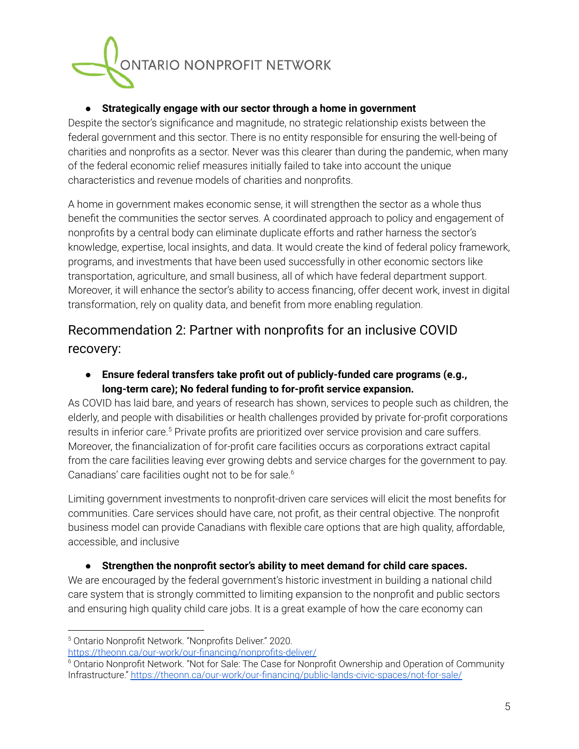

#### **● Strategically engage with our sector through a home in government**

Despite the sector's significance and magnitude, no strategic relationship exists between the federal government and this sector. There is no entity responsible for ensuring the well-being of charities and nonprofits as a sector. Never was this clearer than during the pandemic, when many of the federal economic relief measures initially failed to take into account the unique characteristics and revenue models of charities and nonprofits.

A home in government makes economic sense, it will strengthen the sector as a whole thus benefit the communities the sector serves. A coordinated approach to policy and engagement of nonprofits by a central body can eliminate duplicate efforts and rather harness the sector's knowledge, expertise, local insights, and data. It would create the kind of federal policy framework, programs, and investments that have been used successfully in other economic sectors like transportation, agriculture, and small business, all of which have federal department support. Moreover, it will enhance the sector's ability to access financing, offer decent work, invest in digital transformation, rely on quality data, and benefit from more enabling regulation.

#### Recommendation 2: Partner with nonprofits for an inclusive COVID recovery:

**● Ensure federal transfers take profit out of publicly-funded care programs (e.g., long-term care); No federal funding to for-profit service expansion.**

As COVID has laid bare, and years of research has shown, services to people such as children, the elderly, and people with disabilities or health challenges provided by private for-profit corporations results in inferior care.<sup>5</sup> Private profits are prioritized over service provision and care suffers. Moreover, the financialization of for-profit care facilities occurs as corporations extract capital from the care facilities leaving ever growing debts and service charges for the government to pay. Canadians' care facilities ought not to be for sale. 6

Limiting government investments to nonprofit-driven care services will elicit the most benefits for communities. Care services should have care, not profit, as their central objective. The nonprofit business model can provide Canadians with flexible care options that are high quality, affordable, accessible, and inclusive

#### ● **Strengthen the nonprofit sector's ability to meet demand for child care spaces.**

We are encouraged by the federal government's historic investment in building a national child care system that is strongly committed to limiting expansion to the nonprofit and public sectors and ensuring high quality child care jobs. It is a great example of how the care economy can

<https://theonn.ca/our-work/our-financing/nonprofits-deliver/>

<sup>5</sup> Ontario Nonprofit Network. "Nonprofits Deliver." 2020.

<sup>&</sup>lt;sup>6</sup> Ontario Nonprofit Network. "Not for Sale: The Case for Nonprofit Ownership and Operation of Community Infrastructure." <https://theonn.ca/our-work/our-financing/public-lands-civic-spaces/not-for-sale/>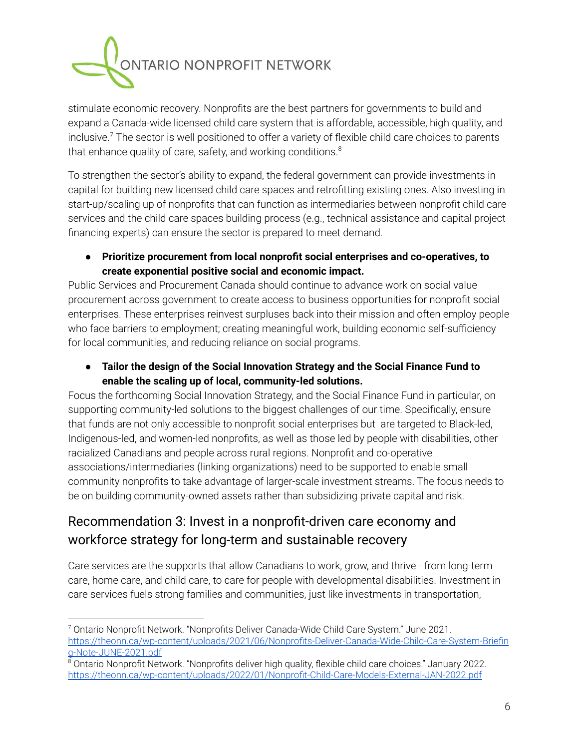

stimulate economic recovery. Nonprofits are the best partners for governments to build and expand a Canada-wide licensed child care system that is affordable, accessible, high quality, and inclusive.<sup>7</sup> The sector is well positioned to offer a variety of flexible child care choices to parents that enhance quality of care, safety, and working conditions. $^8$ 

To strengthen the sector's ability to expand, the federal government can provide investments in capital for building new licensed child care spaces and retrofitting existing ones. Also investing in start-up/scaling up of nonprofits that can function as intermediaries between nonprofit child care services and the child care spaces building process (e.g., technical assistance and capital project financing experts) can ensure the sector is prepared to meet demand.

#### ● **Prioritize procurement from local nonprofit social enterprises and co-operatives, to create exponential positive social and economic impact.**

Public Services and Procurement Canada should continue to advance work on social value procurement across government to create access to business opportunities for nonprofit social enterprises. These enterprises reinvest surpluses back into their mission and often employ people who face barriers to employment; creating meaningful work, building economic self-sufficiency for local communities, and reducing reliance on social programs.

● **Tailor the design of the Social Innovation Strategy and the Social Finance Fund to enable the scaling up of local, community-led solutions.**

Focus the forthcoming Social Innovation Strategy, and the Social Finance Fund in particular, on supporting community-led solutions to the biggest challenges of our time. Specifically, ensure that funds are not only accessible to nonprofit social enterprises but are targeted to Black-led, Indigenous-led, and women-led nonprofits, as well as those led by people with disabilities, other racialized Canadians and people across rural regions. Nonprofit and co-operative associations/intermediaries (linking organizations) need to be supported to enable small community nonprofits to take advantage of larger-scale investment streams. The focus needs to be on building community-owned assets rather than subsidizing private capital and risk.

### Recommendation 3: Invest in a nonprofit-driven care economy and workforce strategy for long-term and sustainable recovery

Care services are the supports that allow Canadians to work, grow, and thrive - from long-term care, home care, and child care, to care for people with developmental disabilities. Investment in care services fuels strong families and communities, just like investments in transportation,

<sup>7</sup> Ontario Nonprofit Network. "Nonprofits Deliver Canada-Wide Child Care System." June 2021. [https://theonn.ca/wp-content/uploads/2021/06/Nonprofits-Deliver-Canada-Wide-Child-Care-System-Briefin](https://theonn.ca/wp-content/uploads/2021/06/Nonprofits-Deliver-Canada-Wide-Child-Care-System-Briefing-Note-JUNE-2021.pdf) [g-Note-JUNE-2021.pdf](https://theonn.ca/wp-content/uploads/2021/06/Nonprofits-Deliver-Canada-Wide-Child-Care-System-Briefing-Note-JUNE-2021.pdf)

<sup>8</sup> Ontario Nonprofit Network. "Nonprofits deliver high quality, flexible child care choices." January 2022. <https://theonn.ca/wp-content/uploads/2022/01/Nonprofit-Child-Care-Models-External-JAN-2022.pdf>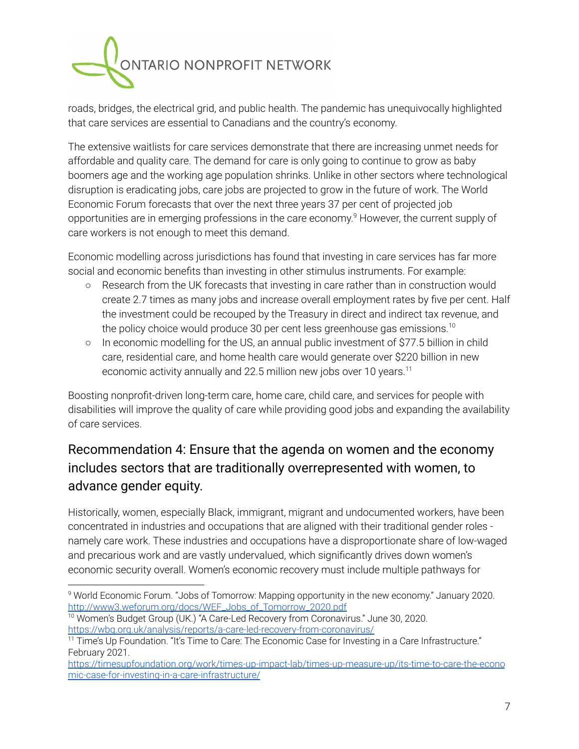

roads, bridges, the electrical grid, and public health. The pandemic has unequivocally highlighted that care services are essential to Canadians and the country's economy.

The extensive waitlists for care services demonstrate that there are increasing unmet needs for affordable and quality care. The demand for care is only going to continue to grow as baby boomers age and the working age population shrinks. Unlike in other sectors where technological disruption is eradicating jobs, care jobs are projected to grow in the future of work. The World Economic Forum forecasts that over the next three years 37 per cent of projected job opportunities are in emerging professions in the care economy. <sup>9</sup> However, the current supply of care workers is not enough to meet this demand.

Economic modelling across jurisdictions has found that investing in care services has far more social and economic benefits than investing in other stimulus instruments. For example:

- Research from the UK forecasts that investing in care rather than in construction would create 2.7 times as many jobs and increase overall employment rates by five per cent. Half the investment could be recouped by the Treasury in direct and indirect tax revenue, and the policy choice would produce 30 per cent less greenhouse gas emissions. $^{\rm 10}$
- In economic modelling for the US, an annual public investment of \$77.5 billion in child care, residential care, and home health care would generate over \$220 billion in new economic activity annually and 22.5 million new jobs over 10 years. $^{\rm 11}$

Boosting nonprofit-driven long-term care, home care, child care, and services for people with disabilities will improve the quality of care while providing good jobs and expanding the availability of care services.

### Recommendation 4: Ensure that the agenda on women and the economy includes sectors that are traditionally overrepresented with women, to advance gender equity.

Historically, women, especially Black, immigrant, migrant and undocumented workers, have been concentrated in industries and occupations that are aligned with their traditional gender roles namely care work. These industries and occupations have a disproportionate share of low-waged and precarious work and are vastly undervalued, which significantly drives down women's economic security overall. Women's economic recovery must include multiple pathways for

<sup>9</sup> World Economic Forum. "Jobs of Tomorrow: Mapping opportunity in the new economy." January 2020. [http://www3.weforum.org/docs/WEF\\_Jobs\\_of\\_Tomorrow\\_2020.pdf](http://www3.weforum.org/docs/WEF_Jobs_of_Tomorrow_2020.pdf)

<sup>&</sup>lt;sup>10</sup> Women's Budget Group (UK.) "A Care-Led Recovery from Coronavirus." June 30, 2020. <https://wbg.org.uk/analysis/reports/a-care-led-recovery-from-coronavirus/>

 $11$  Time's Up Foundation. "It's Time to Care: The Economic Case for Investing in a Care Infrastructure." February 2021.

[https://timesupfoundation.org/work/times-up-impact-lab/times-up-measure-up/its-time-to-care-the-econo](https://timesupfoundation.org/work/times-up-impact-lab/times-up-measure-up/its-time-to-care-the-economic-case-for-investing-in-a-care-infrastructure/) [mic-case-for-investing-in-a-care-infrastructure/](https://timesupfoundation.org/work/times-up-impact-lab/times-up-measure-up/its-time-to-care-the-economic-case-for-investing-in-a-care-infrastructure/)